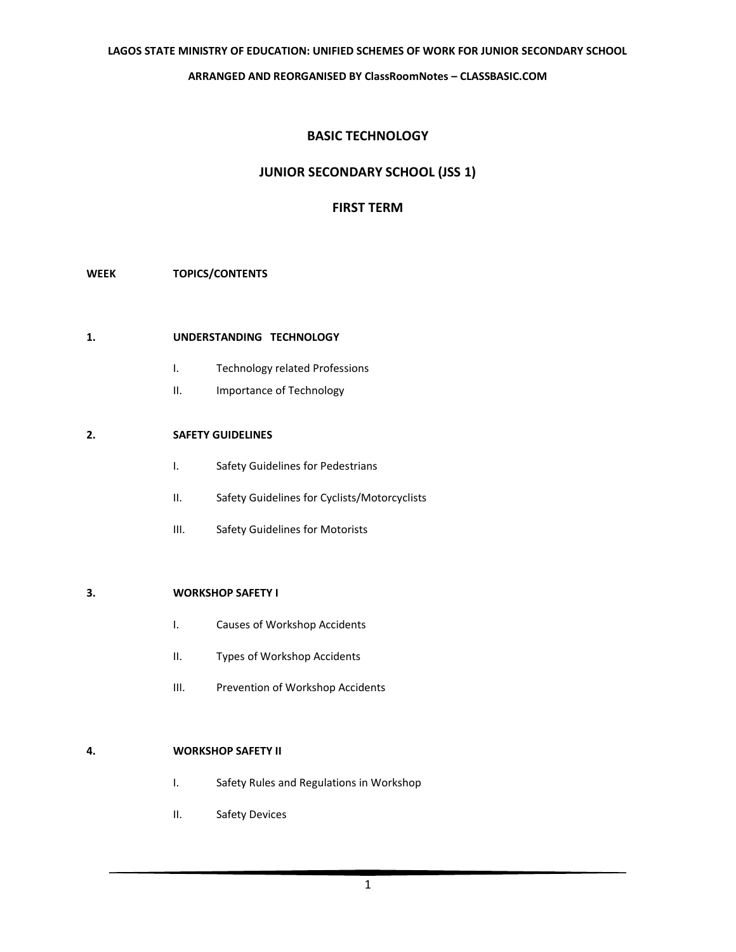# **BASIC TECHNOLOGY**

# **JUNIOR SECONDARY SCHOOL (JSS 1)**

## **FIRST TERM**

#### **WEEK TOPICS/CONTENTS**

### **1. UNDERSTANDING TECHNOLOGY**

- I. Technology related Professions
- II. Importance of Technology

## **2. SAFETY GUIDELINES**

- I. Safety Guidelines for Pedestrians
- II. Safety Guidelines for Cyclists/Motorcyclists
- III. Safety Guidelines for Motorists

#### **3. WORKSHOP SAFETY I**

- I. Causes of Workshop Accidents
- II. Types of Workshop Accidents
- III. Prevention of Workshop Accidents

#### **4. WORKSHOP SAFETY II**

- I. Safety Rules and Regulations in Workshop
- II. Safety Devices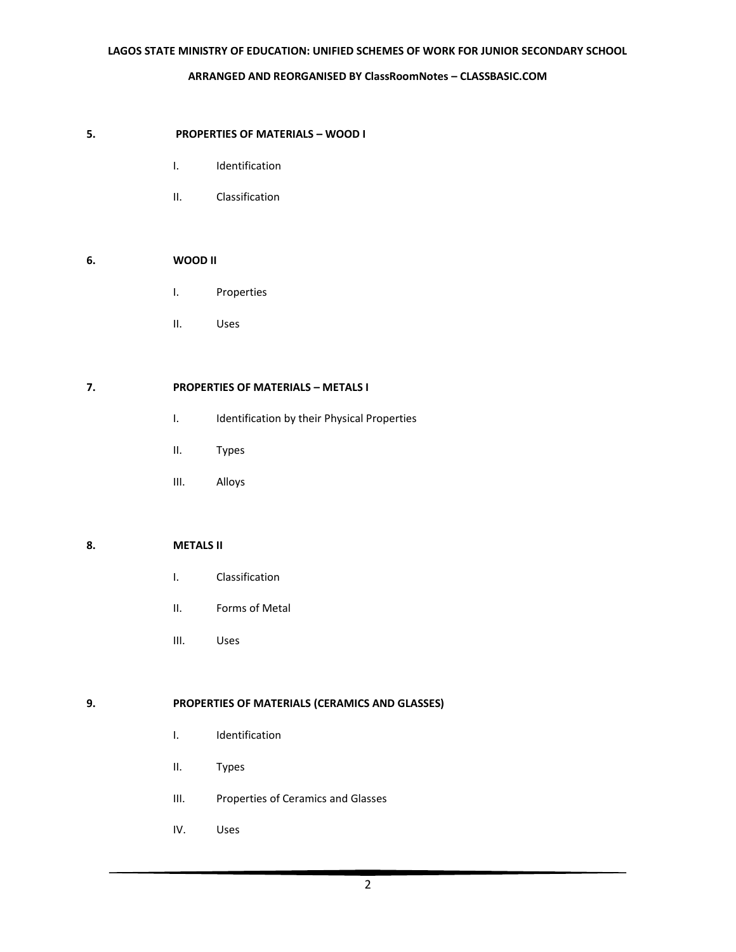### **5. PROPERTIES OF MATERIALS – WOOD I**

- I. Identification
- II. Classification

## **6. WOOD II**

- I. Properties
- II. Uses

### **7. PROPERTIES OF MATERIALS – METALS I**

- I. Identification by their Physical Properties
- II. Types
- III. Alloys

### **8. METALS II**

- I. Classification
- II. Forms of Metal
- III. Uses

### **9. PROPERTIES OF MATERIALS (CERAMICS AND GLASSES)**

- I. Identification
- II. Types
- III. Properties of Ceramics and Glasses
- IV. Uses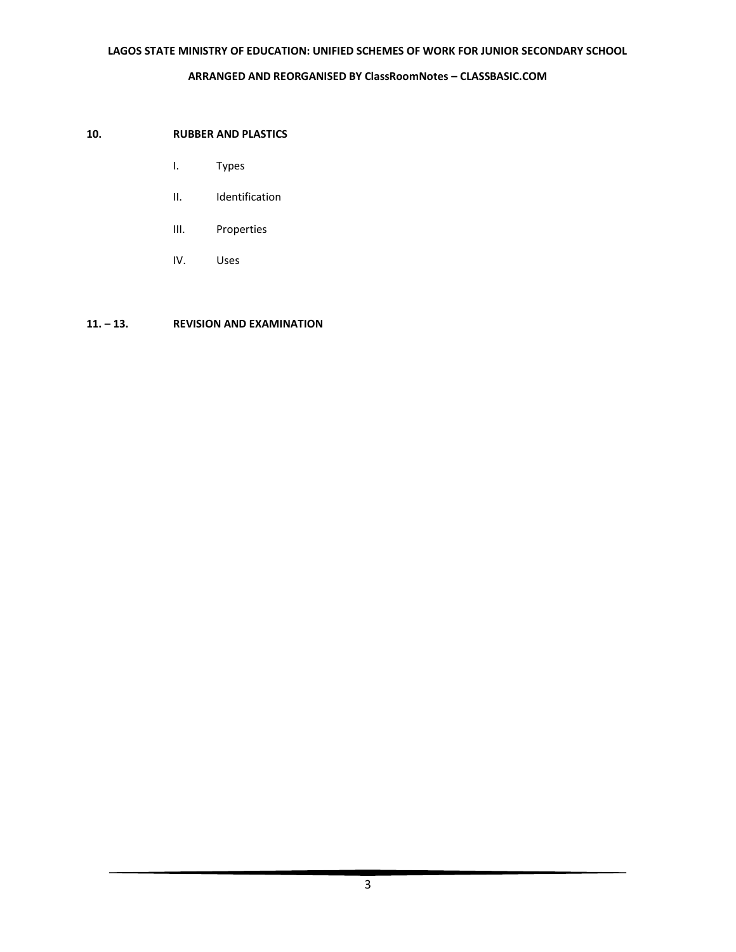### **10. RUBBER AND PLASTICS**

- I. Types
- II. Identification
- III. Properties
- IV. Uses

### **11. – 13. REVISION AND EXAMINATION**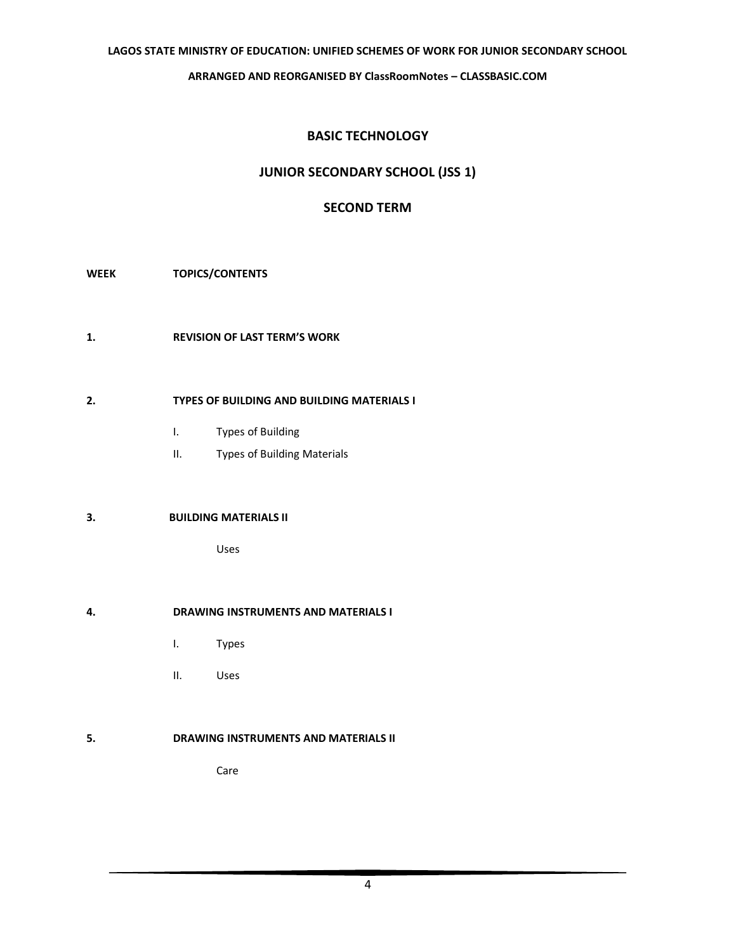#### **LAGOS STATE MINISTRY OF EDUCATION: UNIFIED SCHEMES OF WORK FOR JUNIOR SECONDARY SCHOOL**

#### **ARRANGED AND REORGANISED BY ClassRoomNotes – [CLASSBASIC.COM](http://classbasic.com/)**

# **BASIC TECHNOLOGY**

# **JUNIOR SECONDARY SCHOOL (JSS 1)**

# **SECOND TERM**

- **WEEK TOPICS/CONTENTS**
- **1. REVISION OF LAST TERM'S WORK**

### **2. TYPES OF BUILDING AND BUILDING MATERIALS I**

- I. Types of Building
- II. Types of Building Materials

#### **3. BUILDING MATERIALS II**

Uses

### **4. DRAWING INSTRUMENTS AND MATERIALS I**

- I. Types
- II. Uses

### **5. DRAWING INSTRUMENTS AND MATERIALS II**

Care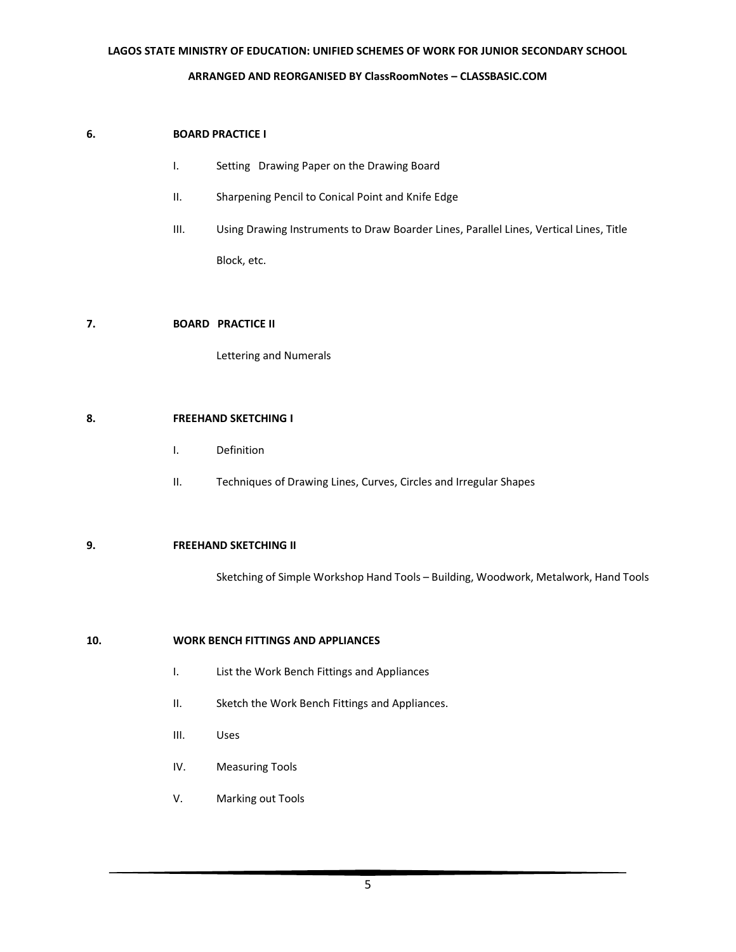# **LAGOS STATE MINISTRY OF EDUCATION: UNIFIED SCHEMES OF WORK FOR JUNIOR SECONDARY SCHOOL ARRANGED AND REORGANISED BY ClassRoomNotes – [CLASSBASIC.COM](http://classbasic.com/)**

### **6. BOARD PRACTICE I**

- I. Setting Drawing Paper on the Drawing Board
- II. Sharpening Pencil to Conical Point and Knife Edge
- III. Using Drawing Instruments to Draw Boarder Lines, Parallel Lines, Vertical Lines, Title Block, etc.

### **7. BOARD PRACTICE II**

Lettering and Numerals

#### **8. FREEHAND SKETCHING I**

- I. Definition
- II. Techniques of Drawing Lines, Curves, Circles and Irregular Shapes

### **9. FREEHAND SKETCHING II**

Sketching of Simple Workshop Hand Tools – Building, Woodwork, Metalwork, Hand Tools

### **10. WORK BENCH FITTINGS AND APPLIANCES**

- I. List the Work Bench Fittings and Appliances
- II. Sketch the Work Bench Fittings and Appliances.
- III. Uses
- IV. Measuring Tools
- V. Marking out Tools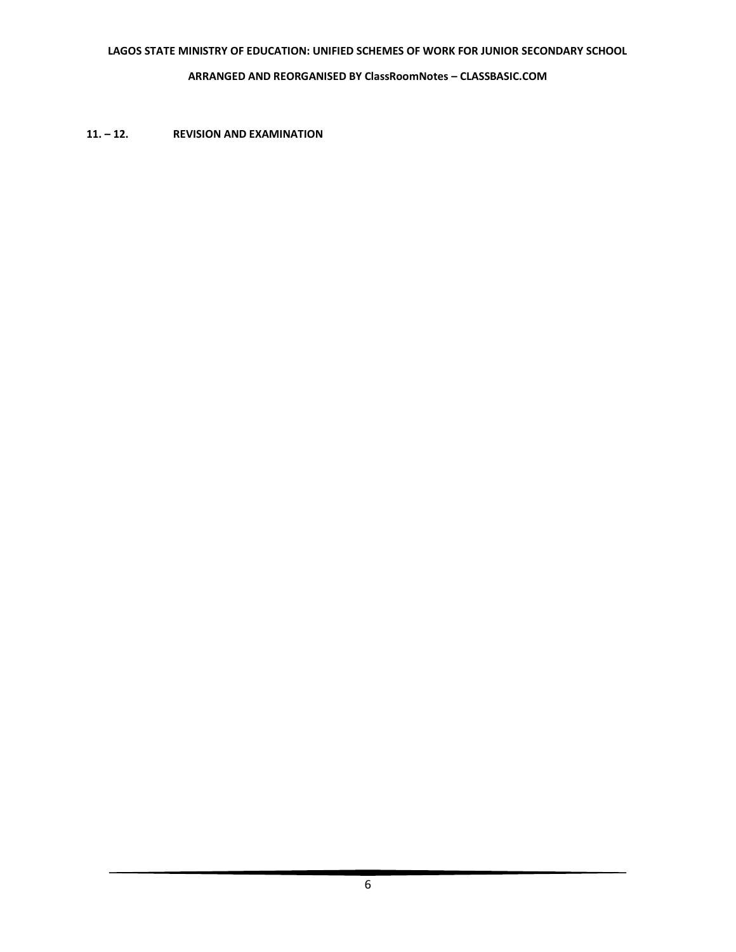**11. – 12. REVISION AND EXAMINATION**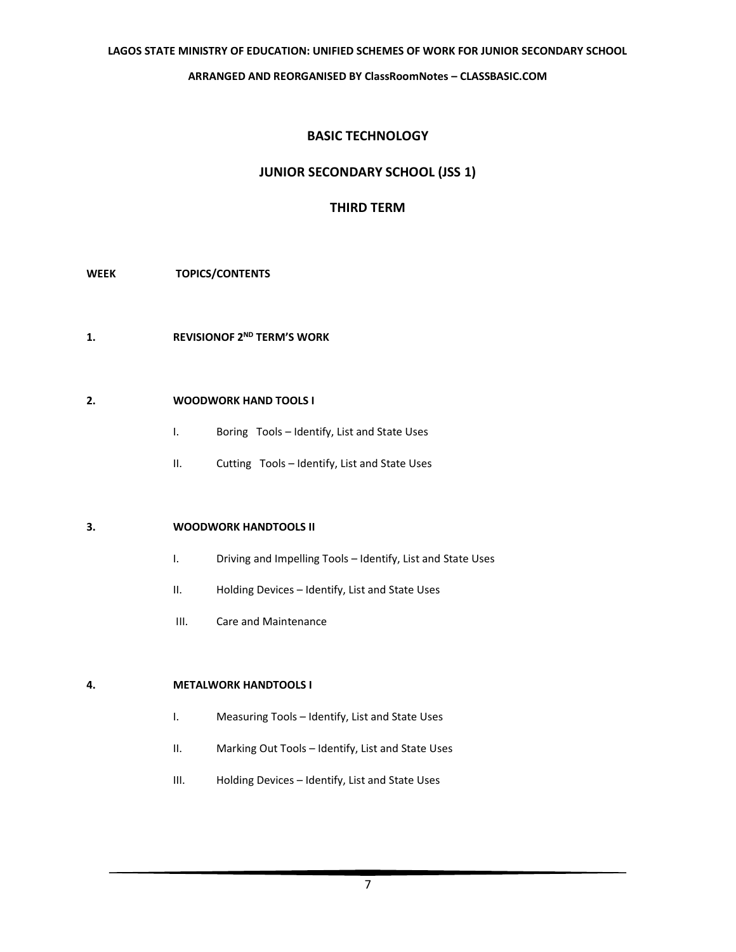# **BASIC TECHNOLOGY**

# **JUNIOR SECONDARY SCHOOL (JSS 1)**

## **THIRD TERM**

- **WEEK TOPICS/CONTENTS**
- **1. REVISIONOF 2<sup>ND</sup> TERM'S WORK**

#### **2. WOODWORK HAND TOOLS I**

- I. Boring Tools Identify, List and State Uses
- II. Cutting Tools Identify, List and State Uses

#### **3. WOODWORK HANDTOOLS II**

- I. Driving and Impelling Tools Identify, List and State Uses
- II. Holding Devices Identify, List and State Uses
- III. Care and Maintenance

#### **4. METALWORK HANDTOOLS I**

- I. Measuring Tools Identify, List and State Uses
- II. Marking Out Tools Identify, List and State Uses
- III. Holding Devices Identify, List and State Uses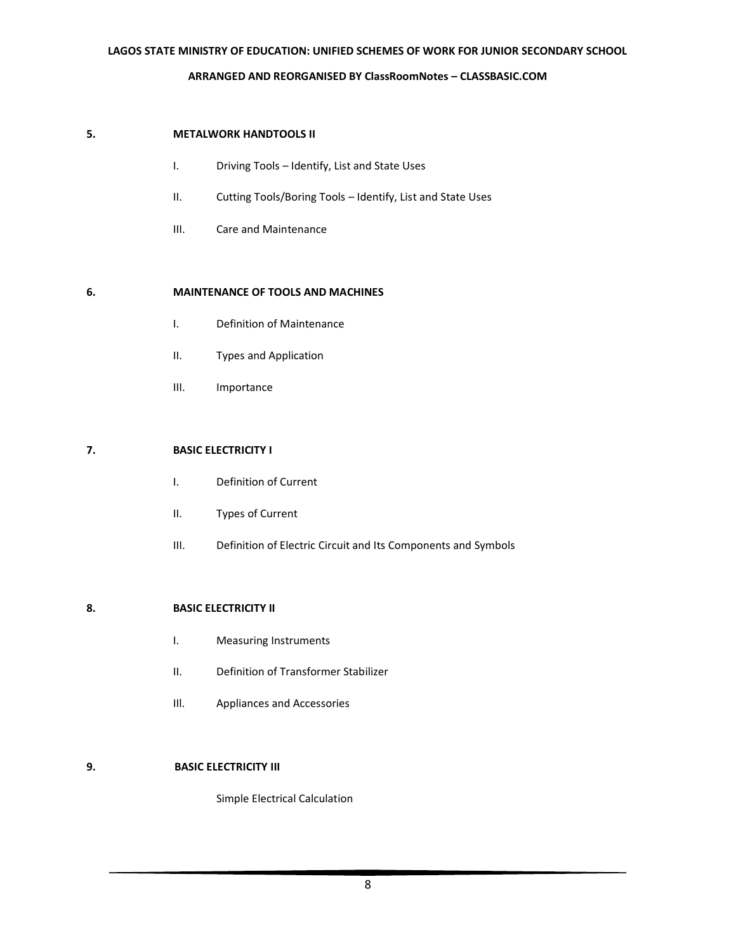### **LAGOS STATE MINISTRY OF EDUCATION: UNIFIED SCHEMES OF WORK FOR JUNIOR SECONDARY SCHOOL**

#### **ARRANGED AND REORGANISED BY ClassRoomNotes – [CLASSBASIC.COM](http://classbasic.com/)**

#### **5. METALWORK HANDTOOLS II**

- I. Driving Tools Identify, List and State Uses
- II. Cutting Tools/Boring Tools Identify, List and State Uses
- III. Care and Maintenance

#### **6. MAINTENANCE OF TOOLS AND MACHINES**

- I. Definition of Maintenance
- II. Types and Application
- III. Importance

### **7. BASIC ELECTRICITY I**

- I. Definition of Current
- II. Types of Current
- III. Definition of Electric Circuit and Its Components and Symbols

### **8. BASIC ELECTRICITY II**

- I. Measuring Instruments
- II. Definition of Transformer Stabilizer
- IIl. Appliances and Accessories

# **9. BASIC ELECTRICITY III**

Simple Electrical Calculation